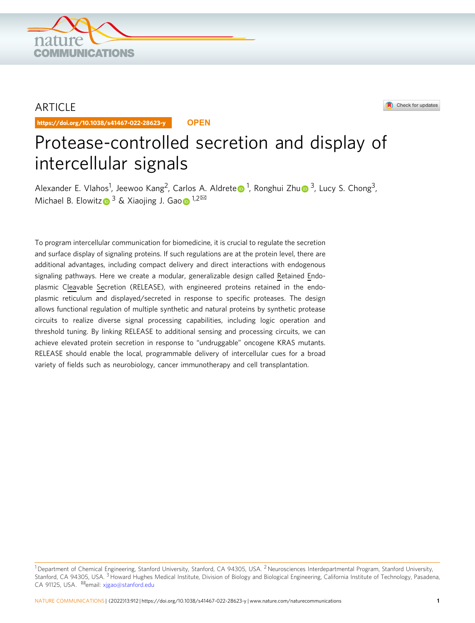

## ARTICLE

https://doi.org/10.1038/s41467-022-28623-y **OPEN**

# Protease-controlled secretion and display of intercellular signals

Al[e](http://orcid.org/0000-0003-3795-4572)xander E. Vlahos<s[u](http://orcid.org/0000-0001-8171-482X)p>1</sup>, Jeewoo Kang<sup>2</sup>, Carlos A. Aldrete 1, Ronghui Zhu 1[3](http://orcid.org/0000-0001-8171-482X), Lucy S. Chong<sup>3</sup>, Michael B. Elowit[z](http://orcid.org/0000-0002-1221-0967)  $\bullet^3$  & Xia[o](http://orcid.org/0000-0002-3094-1456)jing J. Gao  $\bullet^{1,2}$  $\bullet^{1,2}$  $\bullet^{1,2}$ 

To program intercellular communication for biomedicine, it is crucial to regulate the secretion and surface display of signaling proteins. If such regulations are at the protein level, there are additional advantages, including compact delivery and direct interactions with endogenous signaling pathways. Here we create a modular, generalizable design called Retained Endoplasmic Cleavable Secretion (RELEASE), with engineered proteins retained in the endoplasmic reticulum and displayed/secreted in response to specific proteases. The design allows functional regulation of multiple synthetic and natural proteins by synthetic protease circuits to realize diverse signal processing capabilities, including logic operation and threshold tuning. By linking RELEASE to additional sensing and processing circuits, we can achieve elevated protein secretion in response to "undruggable" oncogene KRAS mutants. RELEASE should enable the local, programmable delivery of intercellular cues for a broad variety of fields such as neurobiology, cancer immunotherapy and cell transplantation.

Check for updates

 $1$ Department of Chemical Engineering, Stanford University, Stanford, CA 94305, USA. <sup>2</sup>Neurosciences Interdepartmental Program, Stanford University, Stanford, CA 94305, USA. <sup>3</sup> Howard Hughes Medical Institute, Division of Biology and Biological Engineering, California Institute of Technology, Pasadena, CA 91125, USA. <sup>⊠</sup>email: [xjgao@stanford.edu](mailto:xjgao@stanford.edu)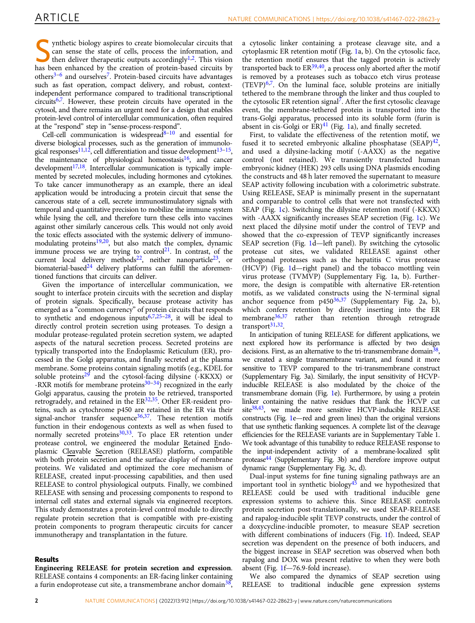ynthetic biology aspires to create biomolecular circuits that can sense the state of cells, process the information, and then deliver therapeutic outputs accordingly<sup>[1,2](#page-10-0)</sup>. This vision has been enhanced by the creation of protein-based circuits by others<sup>3–[6](#page-10-0)</sup> and ourselves<sup>[7](#page-10-0)</sup>. Protein-based circuits have advantages such as fast operation, compact delivery, and robust, contextindependent performance compared to traditional transcriptional circuits<sup>6,7</sup>. However, these protein circuits have operated in the cytosol, and there remains an urgent need for a design that enables protein-level control of intercellular communication, often required at the "respond" step in "sense-process-respond".

Cell-cell communication is widespread $8-10$  $8-10$  and essential for diverse biological processes, such as the generation of immunolo-gical responses<sup>[11,12](#page-10-0)</sup>, cell differentiation and tissue development<sup>[13](#page-10-0)–15</sup>, the maintenance of physiological homeostasis $16$ , and cancer  $development<sup>17,18</sup>$  $development<sup>17,18</sup>$  $development<sup>17,18</sup>$ . Intercellular communication is typically implemented by secreted molecules, including hormones and cytokines. To take cancer immunotherapy as an example, there an ideal application would be introducing a protein circuit that sense the cancerous state of a cell, secrete immunostimulatory signals with temporal and quantitative precision to mobilize the immune system while lysing the cell, and therefore turn these cells into vaccines against other similarly cancerous cells. This would not only avoid the toxic effects associated with the systemic delivery of immunomodulating proteins $19,20$ , but also match the complex, dynamic immune process we are trying to control<sup>21</sup>. In contrast, of the current local delivery methods<sup>22</sup>, neither nanoparticle<sup>23</sup>, or biomaterial-based $24$  delivery platforms can fulfill the aforementioned functions that circuits can deliver.

Given the importance of intercellular communication, we sought to interface protein circuits with the secretion and display of protein signals. Specifically, because protease activity has emerged as a "common currency" of protein circuits that responds to synthetic and endogenous inputs $6,7,25-28$  $6,7,25-28$  $6,7,25-28$  $6,7,25-28$  $6,7,25-28$  $6,7,25-28$ , it will be ideal to directly control protein secretion using proteases. To design a modular protease-regulated protein secretion system, we adapted aspects of the natural secretion process. Secreted proteins are typically transported into the Endoplasmic Reticulum (ER), processed in the Golgi apparatus, and finally secreted at the plasma membrane. Some proteins contain signaling motifs (e.g., KDEL for soluble proteins<sup>29</sup> and the cytosol-facing dilysine  $(KKXX)$  or -RXR motifs for membrane proteins $30-34$ ) recognized in the early Golgi apparatus, causing the protein to be retrieved, transported retrogradely, and retained in the ER<sup>32,35</sup>. Other ER-resident proteins, such as cytochrome p450 are retained in the ER via their signal-anchor transfer sequence  $36,37$  $36,37$ . These retention motifs function in their endogenous contexts as well as when fused to normally secreted proteins<sup>30,[33](#page-10-0)</sup>. To place ER retention under protease control, we engineered the modular Retained Endoplasmic Cleavable Secretion (RELEASE) platform, compatible with both protein secretion and the surface display of membrane proteins. We validated and optimized the core mechanism of RELEASE, created input-processing capabilities, and then used RELEASE to control physiological outputs. Finally, we combined RELEASE with sensing and processing components to respond to internal cell states and external signals via engineered receptors. This study demonstrates a protein-level control module to directly regulate protein secretion that is compatible with pre-existing protein components to program therapeutic circuits for cancer immunotherapy and transplantation in the future.

## Results

Engineering RELEASE for protein secretion and expression. RELEASE contains 4 components: an ER-facing linker containing a furin endoprotease cut site, a transmembrane anchor domain<sup>38</sup>, a cytosolic linker containing a protease cleavage site, and a cytoplasmic ER retention motif (Fig. [1](#page-3-0)a, b). On the cytosolic face, the retention motif ensures that the tagged protein is actively transported back to  $ER^{39,40}$ , a process only aborted after the motif is removed by a proteases such as tobacco etch virus protease  $(TEVP)^{6,7}$  $(TEVP)^{6,7}$  $(TEVP)^{6,7}$ . On the luminal face, soluble proteins are initially tethered to the membrane through the linker and thus coupled to the cytosolic ER retention signal[7](#page-10-0). After the first cytosolic cleavage event, the membrane-tethered protein is transported into the trans-Golgi apparatus, processed into its soluble form (furin is absent in cis-Golgi or  $ER)^{41}$  $ER)^{41}$  $ER)^{41}$  (Fig. [1a](#page-3-0)), and finally secreted.

First, to validate the effectiveness of the retention motif, we fused it to secreted embryonic alkaline phosphatase  $(SEAP)^{42}$ , and used a dilysine-lacking motif (-AAXX) as the negative control (not retained). We transiently transfected human embryonic kidney (HEK) 293 cells using DNA plasmids encoding the constructs and 48 h later removed the supernatant to measure SEAP activity following incubation with a colorimetric substrate. Using RELEASE, SEAP is minimally present in the supernatant and comparable to control cells that were not transfected with SEAP (Fig. [1c](#page-3-0)). Switching the dilysine retention motif (-KKXX) with -AAXX significantly increases SEAP secretion (Fig. [1](#page-3-0)c). We next placed the dilysine motif under the control of TEVP and showed that the co-expression of TEVP significantly increases SEAP secretion (Fig. [1d](#page-3-0)—left panel). By switching the cytosolic protease cut sites, we validated RELEASE against other orthogonal proteases such as the hepatitis C virus protease (HCVP) (Fig. [1d](#page-3-0)—right panel) and the tobacco mottling vein virus protease (TVMVP) (Supplementary Fig. 1a, b). Furthermore, the design is compatible with alternative ER-retention motifs, as we validated constructs using the N-terminal signal anchor sequence from  $p450^{36,37}$  $p450^{36,37}$  $p450^{36,37}$  (Supplementary Fig. 2a, b), which confers retention by directly inserting into the ER membrane<sup>36,37</sup> rather than retention through retrograde rather than retention through retrograde transport<sup>31,32</sup>.

In anticipation of tuning RELEASE for different applications, we next explored how its performance is affected by two design decisions. First, as an alternative to the tri-transmembrane domain $38$ , we created a single transmembrane variant, and found it more sensitive to TEVP compared to the tri-transmembrane construct (Supplementary Fig. 3a). Similarly, the input sensitivity of HCVPinducible RELEASE is also modulated by the choice of the transmembrane domain (Fig. [1](#page-3-0)e). Furthermore, by using a protein linker containing the native residues that flank the HCVP cut site $38,43$ , we made more sensitive HCVP-inducible RELEASE constructs (Fig. [1](#page-3-0)e—red and green lines) than the original versions that use synthetic flanking sequences. A complete list of the cleavage efficiencies for the RELEASE variants are in Supplementary Table 1. We took advantage of this tunability to reduce RELEASE response to the input-independent activity of a membrane-localized split protease<sup>44</sup> (Supplementary Fig. 3b) and therefore improve output dynamic range (Supplementary Fig. 3c, d).

Dual-input systems for fine tuning signaling pathways are an important tool in synthetic biology<sup>[45](#page-11-0)</sup> and we hypothesized that RELEASE could be used with traditional inducible gene expression systems to achieve this. Since RELEASE controls protein secretion post-translationally, we used SEAP-RELEASE and rapalog-inducible split TEVP constructs, under the control of a doxycycline-inducible promoter, to measure SEAP secretion with different combinations of inducers (Fig. [1f](#page-3-0)). Indeed, SEAP secretion was dependent on the presence of both inducers, and the biggest increase in SEAP secretion was observed when both rapalog and DOX was present relative to when they were both absent (Fig. [1f](#page-3-0)—76.9-fold increase).

We also compared the dynamics of SEAP secretion using RELEASE to traditional inducible gene expression systems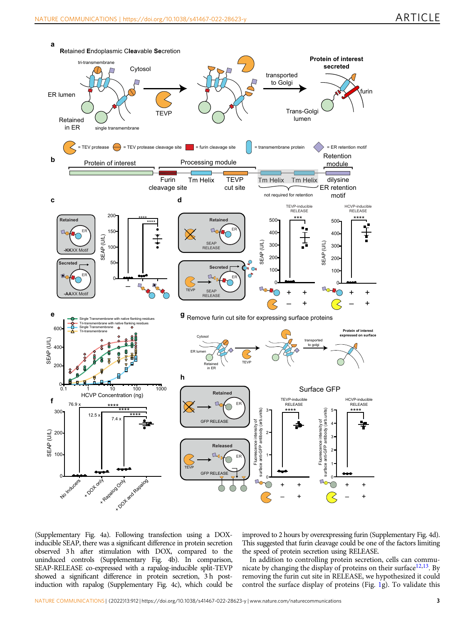

(Supplementary Fig. 4a). Following transfection using a DOXinducible SEAP, there was a significant difference in protein secretion observed 3 h after stimulation with DOX, compared to the uninduced controls (Supplementary Fig. 4b). In comparison, SEAP-RELEASE co-expressed with a rapalog-inducible split-TEVP showed a significant difference in protein secretion, 3 h postinduction with rapalog (Supplementary Fig. 4c), which could be improved to 2 hours by overexpressing furin (Supplementary Fig. 4d). This suggested that furin cleavage could be one of the factors limiting the speed of protein secretion using RELEASE.

In addition to controlling protein secretion, cells can communicate by changing the display of proteins on their surface $12,13$ . By removing the furin cut site in RELEASE, we hypothesized it could control the surface display of proteins (Fig. [1g](#page-3-0)). To validate this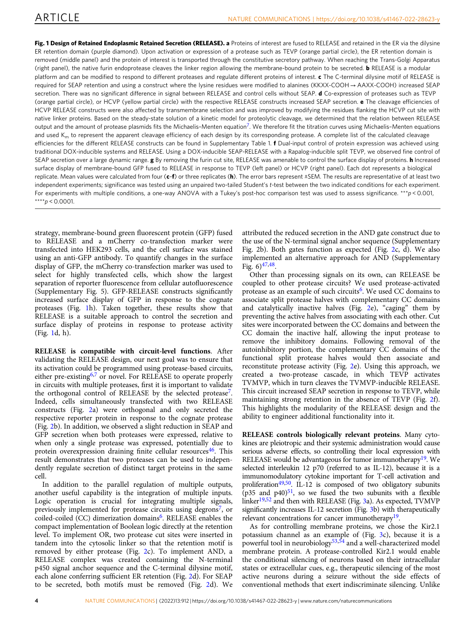<span id="page-3-0"></span>Fig. 1 Design of Retained Endoplasmic Retained Secretion (RELEASE). a Proteins of interest are fused to RELEASE and retained in the ER via the dilysine ER retention domain (purple diamond). Upon activation or expression of a protease such as TEVP (orange partial circle), the ER retention domain is removed (middle panel) and the protein of interest is transported through the constitutive secretory pathway. When reaching the Trans-Golgi Apparatus (right panel), the native furin endoprotease cleaves the linker region allowing the membrane-bound protein to be secreted. **b** RELEASE is a modular platform and can be modified to respond to different proteases and regulate different proteins of interest. c The C-terminal dilysine motif of RELEASE is required for SEAP retention and using a construct where the lysine residues were modified to alanines (KKXX-COOH → AAXX-COOH) increased SEAP secretion. There was no significant difference in signal between RELEASE and control cells without SEAP. d Co-expression of proteases such as TEVP (orange partial circle), or HCVP (yellow partial circle) with the respective RELEASE constructs increased SEAP secretion. e The cleavage efficiencies of HCVP RELEASE constructs were also affected by transmembrane selection and was improved by modifying the residues flanking the HCVP cut site with native linker proteins. Based on the steady-state solution of a kinetic model for proteolytic cleavage, we determined that the relation between RELEASE output and the amount of protease plasmids fits the Michaelis-Menten equation<sup>7</sup>. We therefore fit the titration curves using Michaelis-Menten equations and used  $K<sub>m</sub>$  to represent the apparent cleavage efficiency of each design by its corresponding protease. A complete list of the calculated cleavage efficiencies for the different RELEASE constructs can be found in Supplementary Table 1. f Dual-input control of protein expression was achieved using traditional DOX-inducible systems and RELEASE. Using a DOX-inducible SEAP-RELEASE with a Rapalog-inducible split TEVP, we observed fine control of SEAP secretion over a large dynamic range. g By removing the furin cut site, RELEASE was amenable to control the surface display of proteins. **h** Increased surface display of membrane-bound GFP fused to RELEASE in response to TEVP (left panel) or HCVP (right panel). Each dot represents a biological replicate. Mean values were calculated from four (c-f) or three replicates (h). The error bars represent ±SEM. The results are representative of at least two independent experiments; significance was tested using an unpaired two-tailed Student's t-test between the two indicated conditions for each experiment. For experiments with multiple conditions, a one-way ANOVA with a Tukey's post-hoc comparison test was used to assess significance. \*\*\*p < 0.001, \*\*\*\*p < 0.0001.

strategy, membrane-bound green fluorescent protein (GFP) fused to RELEASE and a mCherry co-transfection marker were transfected into HEK293 cells, and the cell surface was stained using an anti-GFP antibody. To quantify changes in the surface display of GFP, the mCherry co-transfection marker was used to select for highly transfected cells, which show the largest separation of reporter fluorescence from cellular autofluorescence (Supplementary Fig. 5). GFP-RELEASE constructs significantly increased surface display of GFP in response to the cognate proteases (Fig. 1h). Taken together, these results show that RELEASE is a suitable approach to control the secretion and surface display of proteins in response to protease activity (Fig. 1d, h).

RELEASE is compatible with circuit-level functions. After validating the RELEASE design, our next goal was to ensure that its activation could be programmed using protease-based circuits, either pre-existing<sup>[6,7](#page-10-0)</sup> or novel. For RELEASE to operate properly in circuits with multiple proteases, first it is important to validate the orthogonal control of RELEASE by the selected protease<sup>7</sup>. Indeed, cells simultaneously transfected with two RELEASE constructs (Fig. [2a](#page-5-0)) were orthogonal and only secreted the respective reporter protein in response to the cognate protease (Fig. [2b](#page-5-0)). In addition, we observed a slight reduction in SEAP and GFP secretion when both proteases were expressed, relative to when only a single protease was expressed, potentially due to protein overexpression draining finite cellular resources $46$ . This result demonstrates that two proteases can be used to independently regulate secretion of distinct target proteins in the same cell.

In addition to the parallel regulation of multiple outputs, another useful capability is the integration of multiple inputs. Logic operation is crucial for integrating multiple signals, previously implemented for protease circuits using degrons<sup>7</sup>, or coiled-coiled (CC) dimerization domains<sup>6</sup>. RELEASE enables the compact implementation of Boolean logic directly at the retention level. To implement OR, two protease cut sites were inserted in tandem into the cytosolic linker so that the retention motif is removed by either protease (Fig. [2c](#page-5-0)). To implement AND, a RELEASE complex was created containing the N-terminal p450 signal anchor sequence and the C-terminal dilysine motif, each alone conferring sufficient ER retention (Fig. [2](#page-5-0)d). For SEAP to be secreted, both motifs must be removed (Fig. [2](#page-5-0)d). We attributed the reduced secretion in the AND gate construct due to the use of the N-terminal signal anchor sequence (Supplementary Fig. 2b). Both gates function as expected (Fig. [2](#page-5-0)c, d). We also implemented an alternative approach for AND (Supplementary Fig.  $6)$ <sup>47,48</sup>.

Other than processing signals on its own, can RELEASE be coupled to other protease circuits? We used protease-activated protease as an example of such circuits<sup>[6](#page-10-0)</sup>. We used CC domains to associate split protease halves with complementary CC domains and catalytically inactive halves (Fig. [2e](#page-5-0)), "caging" them by preventing the active halves from associating with each other. Cut sites were incorporated between the CC domains and between the CC domain the inactive half, allowing the input protease to remove the inhibitory domains. Following removal of the autoinhibitory portion, the complementary CC domains of the functional split protease halves would then associate and reconstitute protease activity (Fig. [2e](#page-5-0)). Using this approach, we created a two-protease cascade, in which TEVP activates TVMVP, which in turn cleaves the TVMVP-inducible RELEASE. This circuit increased SEAP secretion in response to TEVP, while maintaining strong retention in the absence of TEVP (Fig. [2f](#page-5-0)). This highlights the modularity of the RELEASE design and the ability to engineer additional functionality into it.

RELEASE controls biologically relevant proteins. Many cytokines are pleiotropic and their systemic administration would cause serious adverse effects, so controlling their local expression with RELEASE would be advantageous for tumor immunotherapy<sup>19</sup>. We selected interleukin 12 p70 (referred to as IL-12), because it is a immunomodulatory cytokine important for T-cell activation and proliferation<sup>49,50</sup>. IL-12 is composed of two obligatory subunits  $(p35 \text{ and } p40)^{51}$ , so we fused the two subunits with a flexible linker<sup>[19](#page-10-0)[,52](#page-11-0)</sup> and then with RELEASE (Fig. [3](#page-5-0)a). As expected, TVMVP significantly increases IL-12 secretion (Fig. [3](#page-5-0)b) with therapeutically relevant concentrations for cancer immunotherapy<sup>19</sup>.

As for controlling membrane proteins, we chose the Kir2.1 potassium channel as an example of (Fig. [3](#page-5-0)c), because it is a powerful tool in neurobiology<sup>[53](#page-11-0),[54](#page-11-0)</sup> and a well-characterized model membrane protein. A protease-controlled Kir2.1 would enable the conditional silencing of neurons based on their intracellular states or extracellular cues, e.g., therapeutic silencing of the most active neurons during a seizure without the side effects of conventional methods that exert indiscriminate silencing. Unlike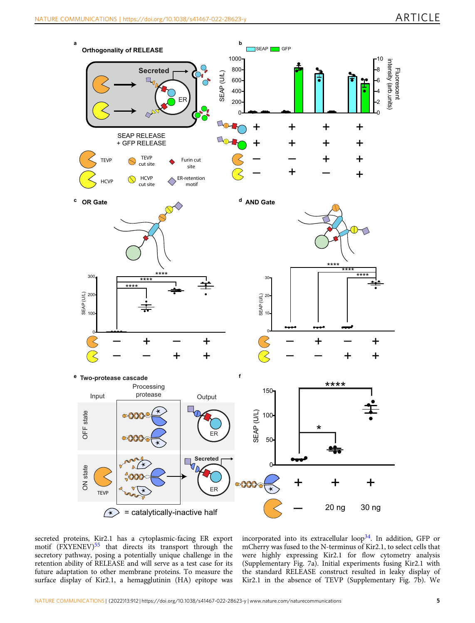

secreted proteins, Kir2.1 has a cytoplasmic-facing ER export motif (FXYENEV)<sup>[55](#page-11-0)</sup> that directs its transport through the secretory pathway, posing a potentially unique challenge in the retention ability of RELEASE and will serve as a test case for its future adaptation to other membrane proteins. To measure the surface display of Kir2.1, a hemagglutinin (HA) epitope was incorporated into its extracellular loop<sup>34</sup>. In addition, GFP or mCherry was fused to the N-terminus of Kir2.1, to select cells that were highly expressing Kir2.1 for flow cytometry analysis (Supplementary Fig. 7a). Initial experiments fusing Kir2.1 with the standard RELEASE construct resulted in leaky display of Kir2.1 in the absence of TEVP (Supplementary Fig. 7b). We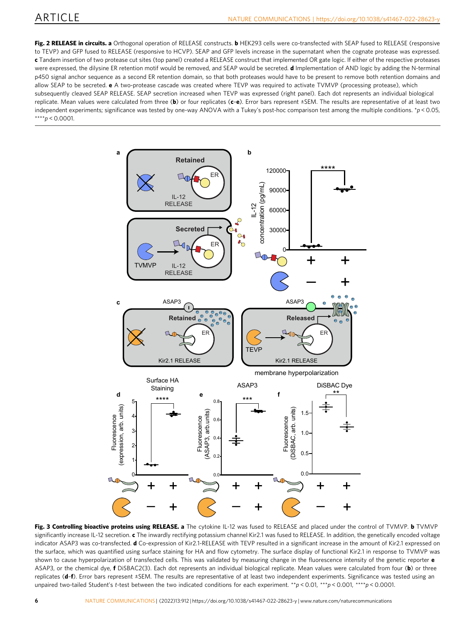<span id="page-5-0"></span>Fig. 2 RELEASE in circuits. a Orthogonal operation of RELEASE constructs. b HEK293 cells were co-transfected with SEAP fused to RELEASE (responsive to TEVP) and GFP fused to RELEASE (responsive to HCVP). SEAP and GFP levels increase in the supernatant when the cognate protease was expressed. c Tandem insertion of two protease cut sites (top panel) created a RELEASE construct that implemented OR gate logic. If either of the respective proteases were expressed, the dilysine ER retention motif would be removed, and SEAP would be secreted. **d** Implementation of AND logic by adding the N-terminal p450 signal anchor sequence as a second ER retention domain, so that both proteases would have to be present to remove both retention domains and allow SEAP to be secreted. e A two-protease cascade was created where TEVP was required to activate TVMVP (processing protease), which subsequently cleaved SEAP RELEASE. SEAP secretion increased when TEVP was expressed (right panel). Each dot represents an individual biological replicate. Mean values were calculated from three (b) or four replicates ( $c-e$ ). Error bars represent  $\pm$ SEM. The results are representative of at least two independent experiments; significance was tested by one-way ANOVA with a Tukey's post-hoc comparison test among the multiple conditions. \*p < 0.05, \*\*\*\*p < 0.0001.



Fig. 3 Controlling bioactive proteins using RELEASE. a The cytokine IL-12 was fused to RELEASE and placed under the control of TVMVP. b TVMVP significantly increase IL-12 secretion. c The inwardly rectifying potassium channel Kir2.1 was fused to RELEASE. In addition, the genetically encoded voltage indicator ASAP3 was co-transfected. d Co-expression of Kir2.1-RELEASE with TEVP resulted in a significant increase in the amount of Kir2.1 expressed on the surface, which was quantified using surface staining for HA and flow cytometry. The surface display of functional Kir2.1 in response to TVMVP was shown to cause hyperpolarization of transfected cells. This was validated by measuring change in the fluorescence intensity of the genetic reporter **e** ASAP3, or the chemical dye, f DiSBAC2(3). Each dot represents an individual biological replicate. Mean values were calculated from four (b) or three replicates (d-f). Error bars represent ±SEM. The results are representative of at least two independent experiments. Significance was tested using an unpaired two-tailed Student's t-test between the two indicated conditions for each experiment. \*\*p < 0.01, \*\*\*p < 0.001, \*\*\*p < 0.0001.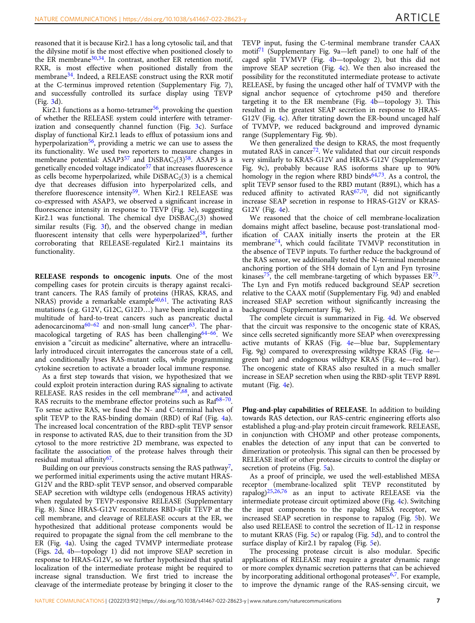reasoned that it is because Kir2.1 has a long cytosolic tail, and that the dilysine motif is the most effective when positioned closely to the ER membrane<sup>[30,34](#page-10-0)</sup>. In contrast, another ER retention motif, RXR, is most effective when positioned distally from the membrane<sup>34</sup>. Indeed, a RELEASE construct using the RXR motif at the C-terminus improved retention (Supplementary Fig. 7), and successfully controlled its surface display using TEVP (Fig. [3](#page-5-0)d).

Kir2.1 functions as a homo-tetramer<sup>56</sup>, provoking the question of whether the RELEASE system could interfere with tetramerization and consequently channel function (Fig. [3](#page-5-0)c). Surface display of functional Kir2.1 leads to efflux of potassium ions and hyperpolarization<sup>56</sup>, providing a metric we can use to assess the its functionality. We used two reporters to measure changes in membrane potential: ASAP3<sup>[57](#page-11-0)</sup> and DiSBAC<sub>2</sub>(3)<sup>58</sup>. ASAP3 is a genetically encoded voltage indicator<sup>[57](#page-11-0)</sup> that increases fluorescence as cells become hyperpolarized, while  $DiSBAC<sub>2</sub>(3)$  is a chemical dye that decreases diffusion into hyperpolarized cells, and therefore fluorescence intensity<sup>[59](#page-11-0)</sup>. When Kir2.1 RELEASE was co-expressed with ASAP3, we observed a significant increase in fluorescence intensity in response to TEVP (Fig. [3e](#page-5-0)), suggesting Kir2.1 was functional. The chemical dye  $DiSBAC<sub>2</sub>(3)$  showed similar results (Fig. [3f](#page-5-0)), and the observed change in median fluorescent intensity that cells were hyperpolarized<sup>58</sup>, further corroborating that RELEASE-regulated Kir2.1 maintains its functionality.

RELEASE responds to oncogenic inputs. One of the most compelling cases for protein circuits is therapy against recalcitrant cancers. The RAS family of proteins (HRAS, KRAS, and NRAS) provide a remarkable example $60,61$ . The activating RAS mutations (e.g. G12V, G12C, G12D…) have been implicated in a multitude of hard-to-treat cancers such as pancreatic ductal adenocarcinoma $60-62$  $60-62$  $60-62$  and non-small lung cancer<sup>[63](#page-11-0)</sup>. The phar-macological targeting of RAS has been challenging<sup>[64](#page-11-0)-66</sup>. We envision a "circuit as medicine" alternative, where an intracellularly introduced circuit interrogates the cancerous state of a cell, and conditionally lyses RAS-mutant cells, while programming cytokine secretion to activate a broader local immune response.

As a first step towards that vision, we hypothesized that we could exploit protein interaction during RAS signaling to activate RELEASE. RAS resides in the cell membrane<sup>[67](#page-11-0),68</sup>, and activated RAS recruits to the membrane effector proteins such as  $Raf^{68-70}$ . To sense active RAS, we fused the N- and C-terminal halves of split TEVP to the RAS-binding domain (RBD) of Raf (Fig. [4](#page-7-0)a). The increased local concentration of the RBD-split TEVP sensor in response to activated RAS, due to their transition from the 3D cytosol to the more restrictive 2D membrane, was expected to facilitate the association of the protease halves through their residual mutual affinity<sup>[67](#page-11-0)</sup>.

Building on our previous constructs sensing the RAS pathway<sup>7</sup>, we performed initial experiments using the active mutant HRAS-G12V and the RBD-split TEVP sensor, and observed comparable SEAP secretion with wildtype cells (endogenous HRAS activity) when regulated by TEVP-responsive RELEASE (Supplementary Fig. 8). Since HRAS-G12V reconstitutes RBD-split TEVP at the cell membrane, and cleavage of RELEASE occurs at the ER, we hypothesized that additional protease components would be required to propagate the signal from the cell membrane to the ER (Fig. [4a](#page-7-0)). Using the caged TVMVP intermediate protease (Figs. [2d](#page-5-0), [4](#page-7-0)b—topology 1) did not improve SEAP secretion in response to HRAS-G12V, so we further hypothesized that spatial localization of the intermediate protease might be required to increase signal transduction. We first tried to increase the cleavage of the intermediate protease by bringing it closer to the

TEVP input, fusing the C-terminal membrane transfer CAAX motif<sup>[71](#page-11-0)</sup> (Supplementary Fig. 9a—left panel) to one half of the caged split TVMVP (Fig. [4b](#page-7-0)—topology 2), but this did not improve SEAP secretion (Fig. [4](#page-7-0)c). We then also increased the possibility for the reconstituted intermediate protease to activate RELEASE, by fusing the uncaged other half of TVMVP with the signal anchor sequence of cytochrome p450 and therefore targeting it to the ER membrane (Fig. [4](#page-7-0)b—topology 3). This resulted in the greatest SEAP secretion in response to HRAS-G12V (Fig. [4c](#page-7-0)). After titrating down the ER-bound uncaged half of TVMVP, we reduced background and improved dynamic range (Supplementary Fig. 9b).

We then generalized the design to KRAS, the most frequently mutated RAS in cancer<sup>72</sup>. We validated that our circuit responds very similarly to KRAS-G12V and HRAS-G12V (Supplementary Fig. 9c), probably because RAS isoforms share up to 90% homology in the region where RBD binds $64,73$ . As a control, the split TEVP sensor fused to the RBD mutant (R89L), which has a reduced affinity to activated  $RAS<sup>67,70</sup>$ , did not significantly increase SEAP secretion in response to HRAS-G12V or KRAS-G12V (Fig. [4e](#page-7-0)).

We reasoned that the choice of cell membrane-localization domains might affect baseline, because post-translational modification of CAAX initially inserts the protein at the ER membrane<sup>74</sup>, which could facilitate TVMVP reconstitution in the absence of TEVP inputs. To further reduce the background of the RAS sensor, we additionally tested the N-terminal membrane anchoring portion of the SH4 domain of Lyn and Fyn tyrosine kinases<sup>[75](#page-11-0)</sup>, the cell membrane-targeting of which bypasses  $ER^{75}$ . The Lyn and Fyn motifs reduced background SEAP secretion relative to the CAAX motif (Supplementary Fig. 9d) and enabled increased SEAP secretion without significantly increasing the background (Supplementary Fig. 9e).

The complete circuit is summarized in Fig. [4d](#page-7-0). We observed that the circuit was responsive to the oncogenic state of KRAS, since cells secreted significantly more SEAP when overexpressing active mutants of KRAS (Fig. [4](#page-7-0)e—blue bar, Supplementary Fig. 9g) compared to overexpressing wildtype KRAS (Fig. [4](#page-7-0)e green bar) and endogenous wildtype KRAS (Fig. 4e—red bar). The oncogenic state of KRAS also resulted in a much smaller increase in SEAP secretion when using the RBD-split TEVP R89L mutant (Fig. [4](#page-7-0)e).

Plug-and-play capabilities of RELEASE. In addition to building towards RAS detection, our RAS-centric engineering efforts also established a plug-and-play protein circuit framework. RELEASE, in conjunction with CHOMP and other protease components, enables the detection of any input that can be converted to dimerization or proteolysis. This signal can then be processed by RELEASE itself or other protease circuits to control the display or secretion of proteins (Fig. [5](#page-8-0)a).

As a proof of principle, we used the well-established MESA receptor (membrane-localized split TEVP reconstituted by rapalog)[25](#page-10-0),[26](#page-10-0),[76](#page-11-0) as an input to activate RELEASE via the intermediate protease circuit optimized above (Fig. [4c](#page-7-0)). Switching the input components to the rapalog MESA receptor, we increased SEAP secretion in response to rapalog (Fig. [5b](#page-8-0)). We also used RELEASE to control the secretion of IL-12 in response to mutant KRAS (Fig. [5](#page-8-0)c) or rapalog (Fig. [5d](#page-8-0)), and to control the surface display of Kir2.1 by rapalog (Fig. [5](#page-8-0)e).

The processing protease circuit is also modular. Specific applications of RELEASE may require a greater dynamic range or more complex dynamic secretion patterns that can be achieved by incorporating additional orthogonal proteases<sup>6,7</sup>. For example, to improve the dynamic range of the RAS-sensing circuit, we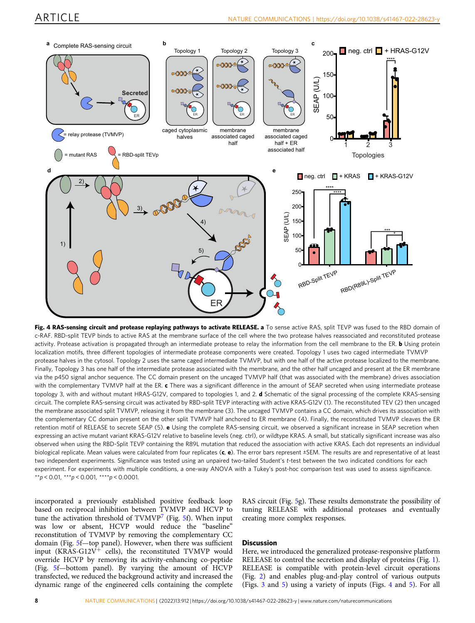<span id="page-7-0"></span>

Fig. 4 RAS-sensing circuit and protease replaying pathways to activate RELEASE. a To sense active RAS, split TEVP was fused to the RBD domain of c-RAF. RBD-split TEVP binds to active RAS at the membrane surface of the cell where the two protease halves reassociated and reconstituted protease activity. Protease activation is propagated through an intermediate protease to relay the information from the cell membrane to the ER. **b** Using protein localization motifs, three different topologies of intermediate protease components were created. Topology 1 uses two caged intermediate TVMVP protease halves in the cytosol. Topology 2 uses the same caged intermediate TVMVP, but with one half of the active protease localized to the membrane. Finally, Topology 3 has one half of the intermediate protease associated with the membrane, and the other half uncaged and present at the ER membrane via the p450 signal anchor sequence. The CC domain present on the uncaged TVMVP half (that was associated with the membrane) drives association with the complementary TVMVP half at the ER. c There was a significant difference in the amount of SEAP secreted when using intermediate protease topology 3, with and without mutant HRAS-G12V, compared to topologies 1, and 2. d Schematic of the signal processing of the complete KRAS-sensing circuit. The complete RAS-sensing circuit was activated by RBD-split TEVP interacting with active KRAS-G12V (1). The reconstituted TEV (2) then uncaged the membrane associated split TVMVP, releasing it from the membrane (3). The uncaged TVMVP contains a CC domain, which drives its association with the complementary CC domain present on the other split TVMVP half anchored to ER membrane (4). Finally, the reconstituted TVMVP cleaves the ER retention motif of RELEASE to secrete SEAP (5). e Using the complete RAS-sensing circuit, we observed a significant increase in SEAP secretion when expressing an active mutant variant KRAS-G12V relative to baseline levels (neg. ctrl), or wildtype KRAS. A small, but statically significant increase was also observed when using the RBD-Split TEVP containing the R89L mutation that reduced the association with active KRAS. Each dot represents an individual biological replicate. Mean values were calculated from four replicates  $(c, e)$ . The error bars represent  $\pm$ SEM. The results are and representative of at least two independent experiments. Significance was tested using an unpaired two-tailed Student's t-test between the two indicated conditions for each experiment. For experiments with multiple conditions, a one-way ANOVA with a Tukey's post-hoc comparison test was used to assess significance. \*\*p < 0.01, \*\*\*p < 0.001, \*\*\*\*p < 0.0001.

incorporated a previously established positive feedback loop based on reciprocal inhibition between TVMVP and HCVP to tune the activation threshold of TVMVP<sup>[7](#page-10-0)</sup> (Fig. [5](#page-8-0)f). When input was low or absent, HCVP would reduce the "baseline" reconstitution of TVMVP by removing the complementary CC domain (Fig. [5](#page-8-0)f—top panel). However, when there was sufficient input (KRAS-G12V<sup>+</sup> cells), the reconstituted TVMVP would override HCVP by removing its activity-enhancing co-peptide (Fig. [5](#page-8-0)f—bottom panel). By varying the amount of HCVP transfected, we reduced the background activity and increased the dynamic range of the engineered cells containing the complete

RAS circuit (Fig. [5](#page-8-0)g). These results demonstrate the possibility of tuning RELEASE with additional proteases and eventually creating more complex responses.

## **Discussion**

Here, we introduced the generalized protease-responsive platform RELEASE to control the secretion and display of proteins (Fig. [1](#page-3-0)). RELEASE is compatible with protein-level circuit operations (Fig. [2\)](#page-5-0) and enables plug-and-play control of various outputs (Figs. [3](#page-5-0) and [5\)](#page-8-0) using a variety of inputs (Figs. 4 and [5](#page-8-0)). For all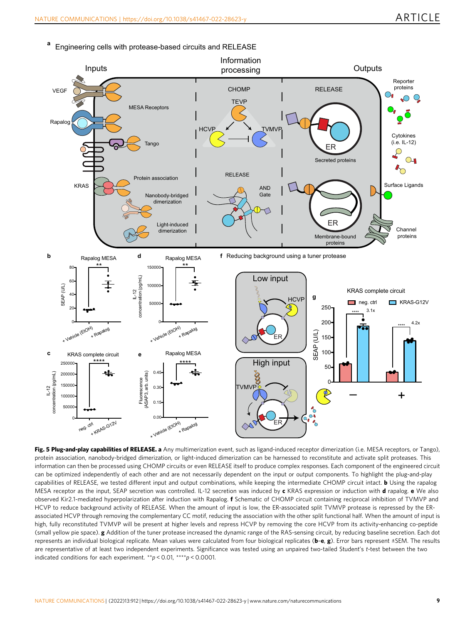

<span id="page-8-0"></span>**<sup>a</sup>** Engineering cells with protease-based circuits and RELEASE

Fig. 5 Plug-and-play capabilities of RELEASE. a Any multimerization event, such as ligand-induced receptor dimerization (i.e. MESA receptors, or Tango), protein association, nanobody-bridged dimerization, or light-induced dimerization can be harnessed to reconstitute and activate split proteases. This information can then be processed using CHOMP circuits or even RELEASE itself to produce complex responses. Each component of the engineered circuit can be optimized independently of each other and are not necessarily dependent on the input or output components. To highlight the plug-and-play capabilities of RELEASE, we tested different input and output combinations, while keeping the intermediate CHOMP circuit intact. b Using the rapalog MESA receptor as the input, SEAP secretion was controlled. IL-12 secretion was induced by c KRAS expression or induction with d rapalog. e We also observed Kir2.1-mediated hyperpolarization after induction with Rapalog. f Schematic of CHOMP circuit containing reciprocal inhibition of TVMVP and HCVP to reduce background activity of RELEASE. When the amount of input is low, the ER-associated split TVMVP protease is repressed by the ERassociated HCVP through removing the complementary CC motif, reducing the association with the other split functional half. When the amount of input is high, fully reconstituted TVMVP will be present at higher levels and repress HCVP by removing the core HCVP from its activity-enhancing co-peptide (small yellow pie space). g Addition of the tuner protease increased the dynamic range of the RAS-sensing circuit, by reducing baseline secretion. Each dot represents an individual biological replicate. Mean values were calculated from four biological replicates (b-e, g). Error bars represent ±SEM. The results are representative of at least two independent experiments. Significance was tested using an unpaired two-tailed Student's t-test between the two indicated conditions for each experiment.  $*p < 0.01$ ,  $****p < 0.0001$ .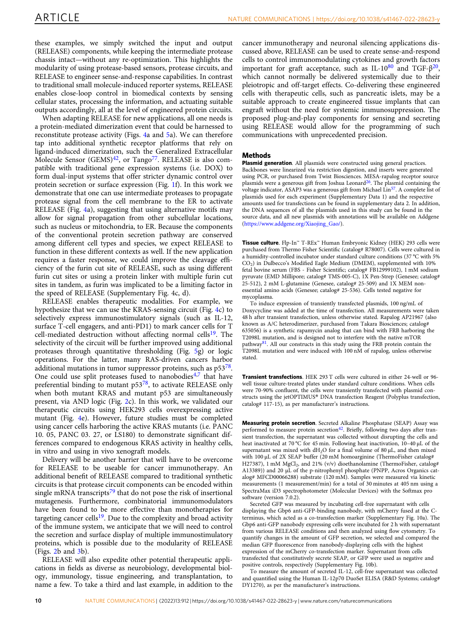these examples, we simply switched the input and output (RELEASE) components, while keeping the intermediate protease chassis intact—without any re-optimization. This highlights the modularity of using protease-based sensors, protease circuits, and RELEASE to engineer sense-and-response capabilities. In contrast to traditional small molecule-induced reporter systems, RELEASE enables close-loop control in biomedical contexts by sensing cellular states, processing the information, and actuating suitable outputs accordingly, all at the level of engineered protein circuits.

When adapting RELEASE for new applications, all one needs is a protein-mediated dimerization event that could be harnessed to reconstitute protease activity (Figs. [4a](#page-7-0) and [5a](#page-8-0)). We can therefore tap into additional synthetic receptor platforms that rely on ligand-induced dimerization, such the Generalized Extracellular Molecule Sensor (GEMS) $42$ , or Tango<sup>77</sup>. RELEASE is also compatible with traditional gene expression systems (i.e. DOX) to form dual-input systems that offer stricter dynamic control over protein secretion or surface expression (Fig. [1f](#page-3-0)). In this work we demonstrate that one can use intermediate proteases to propagate protease signal from the cell membrane to the ER to activate RELEASE (Fig. [4](#page-7-0)a), suggesting that using alternative motifs may allow for signal propagation from other subcellular locations, such as nucleus or mitochondria, to ER. Because the components of the conventional protein secretion pathway are conserved among different cell types and species, we expect RELEASE to function in these different contexts as well. If the new application requires a faster response, we could improve the cleavage efficiency of the furin cut site of RELEASE, such as using different furin cut sites or using a protein linker with multiple furin cut sites in tandem, as furin was implicated to be a limiting factor in the speed of RELEASE (Supplementary Fig. 4c, d).

RELEASE enables therapeutic modalities. For example, we hypothesize that we can use the KRAS-sensing circuit (Fig. [4](#page-7-0)c) to selectively express immunostimulatory signals (such as IL-12, surface T-cell engagers, and anti-PD1) to mark cancer cells for T cell-mediated destruction without affecting normal cells<sup>19</sup>. The selectivity of the circuit will be further improved using additional proteases through quantitative thresholding (Fig. [5](#page-8-0)g) or logic operations. For the latter, many RAS-driven cancers harbor additional mutations in tumor suppressor proteins, such as p53<sup>78</sup>. One could use split proteases fused to nanobodies $4,7$  $4,7$  $4,7$  that have preferential binding to mutant p53<sup>78</sup>, to activate RELEASE only when both mutant KRAS and mutant p53 are simultaneously present, via AND logic (Fig. [2](#page-5-0)c). In this work, we validated our therapeutic circuits using HEK293 cells overexpressing active mutant (Fig. [4](#page-7-0)e). However, future studies must be completed using cancer cells harboring the active KRAS mutants (i.e. PANC 10. 05, PANC 03. 27, or LS180) to demonstrate significant differences compared to endogenous KRAS activity in healthy cells, in vitro and using in vivo xenograft models.

Delivery will be another barrier that will have to be overcome for RELEASE to be useable for cancer immunotherapy. An additional benefit of RELEASE compared to traditional synthetic circuits is that protease circuit components can be encoded within single mRNA transcripts<sup>[79](#page-11-0)</sup> that do not pose the risk of insertional mutagenesis. Furthermore, combinatorial immunomodulators have been found to be more effective than monotherapies for targeting cancer cells<sup>[19](#page-10-0)</sup>. Due to the complexity and broad activity of the immune system, we anticipate that we will need to control the secretion and surface display of multiple immunostimulatory proteins, which is possible due to the modularity of RELEASE (Figs.  $2b$  and  $3b$ ).

RELEASE will also expedite other potential therapeutic applications in fields as diverse as neurobiology, developmental biology, immunology, tissue engineering, and transplantation, to name a few. To take a third and last example, in addition to the cancer immunotherapy and neuronal silencing applications discussed above, RELEASE can be used to create sense-and-respond cells to control immunomodulating cytokines and growth factors important for graft acceptance, such as IL-10 $80$  and TGF- $\beta^{20}$ , which cannot normally be delivered systemically due to their pleiotropic and off-target effects. Co-delivering these engineered cells with therapeutic cells, such as pancreatic islets, may be a suitable approach to create engineered tissue implants that can engraft without the need for systemic immunosuppression. The proposed plug-and-play components for sensing and secreting using RELEASE would allow for the programming of such communications with unprecedented precision.

#### Methods

Plasmid generation. All plasmids were constructed using general practices. Backbones were linearized via restriction digestion, and inserts were generated using PCR, or purchased from Twist Biosciences. MESA-rapalog receptor source plasmids were a generous gift from Joshua Leonard<sup>26</sup>. The plasmid containing the voltage indicator, ASAP3 was a generous gift from Michael Lin<sup>57</sup>. A complete list of plasmids used for each experiment (Supplementary Data 1) and the respective amounts used for transfections can be found in supplementary data 2. In addition, the DNA sequences of all the plasmids used in this study can be found in the source data, and all new plasmids with annotations will be available on Addgene [\(https://www.addgene.org/Xiaojing\\_Gao/\)](https://www.addgene.org/Xiaojing_Gao/).

Tissue culture. Flp-In™ T-REx™ Human Embryonic Kidney (HEK) 293 cells were purchased from Thermo Fisher Scientific (catalog# R78007). Cells were cultured in a humidity-controlled incubator under standard culture conditions (37 °C with 5% CO2) in Dulbecco's Modified Eagle Medium (DMEM), supplemented with 10% fetal bovine serum (FBS - Fisher Scientific; catalog# FB12999102), 1 mM sodium pyruvate (EMD Millipore; catalog# TMS-005-C), IX Pen-Strep (Genesee; catalog# 25-512), 2 mM L-glutamine (Genesee, catalog# 25-509) and 1X MEM nonessential amino acids (Genesee; catalog# 25-536). Cells tested negative for mycoplasma.

To induce expression of transiently transfected plasmids, 100 ng/mL of Doxycycline was added at the time of transfection. All measurements were taken 48 h after transient transfection, unless otherwise stated. Rapalog AP21967 (also known as A/C heterodimerizer, purchased from Takara Biosciences; catalog# 635056) is a synthetic rapamycin analog that can bind with FRB harboring the T2098L mutation, and is designed not to interfere with the native mTOR pathway<sup>[81](#page-11-0)</sup>. All our constructs in this study using the FRB protein contain the T2098L mutation and were induced with 100 nM of rapalog, unless otherwise stated.

Transient transfections. HEK 293 T cells were cultured in either 24-well or 96 well tissue culture-treated plates under standard culture conditions. When cells were 70-90% confluent, the cells were transiently transfected with plasmid constructs using the jetOPTIMUS® DNA transfection Reagent (Polyplus transfection, catalog# 117-15), as per manufacturer's instructions.

Measuring protein secretion. Secreted Alkaline Phosphatase (SEAP) Assay was performed to measure protein secretion<sup>[42](#page-11-0)</sup>. Briefly, following two days after transient transfection, the supernatant was collected without disrupting the cells and heat inactivated at 70 °C for 45 min. Following heat inactivation, 10–40 μL of the supernatant was mixed with  $dH_2O$  for a final volume of 80  $\mu$ L, and then mixed with 100 μL of 2X SEAP buffer (20 mM homoarginine (ThermoFisher catalog# H27387), 1 mM MgCl<sub>2</sub>, and 21% (v/v) dioethanolamine (ThermoFisher, catalog# A13389)) and 20 μL of the p-nitrophenyl phosphate (PNPP, Acros Organics catalog# MFCD00066288) substrate (120 mM). Samples were measured via kinetic measurements (1 measurement/min) for a total of 30 minutes at 405 nm using a SpectraMax iD3 spectrophotometer (Molecular Devices) with the Softmax pro software (version 7.0.2).

Secreted GFP was measured by incubating cell-free supernatant with cells displaying the Gbp6 anti-GFP-binding nanobody, with mCherry fused at the Cterminus, which acted as a co-transfection marker (Supplementary Fig. 10a). The Gbp6 anti-GFP nanobody expressing cells were incubated for 2 h with supernatant from various RELEASE conditions and then analyzed using flow cytometry. To quantify changes in the amount of GFP secretion, we selected and compared the median GFP fluorescence from nanobody-displaying cells with the highest expression of the mCherry co-transfection marker. Supernatant from cells transfected that constitutively secrete SEAP, or GFP were used as negative and positive controls, respectively (Supplementary Fig. 10b).

To measure the amount of secreted IL-12, cell-free supernatant was collected and quantified using the Human IL-12p70 DuoSet ELISA (R&D Systems; catalog# DY1270), as per the manufacturer's instructions.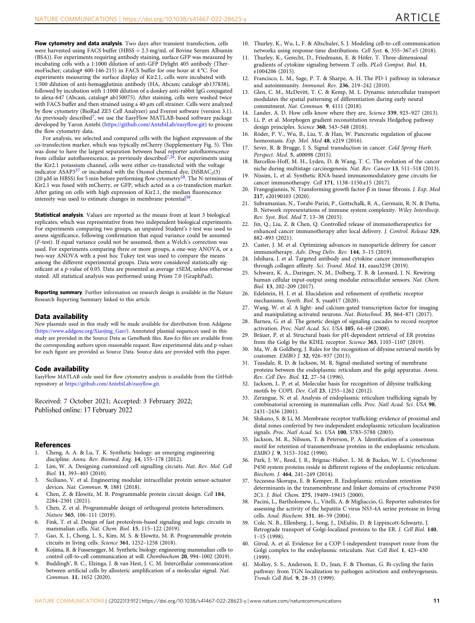<span id="page-10-0"></span>Flow cytometry and data analysis. Two days after transient transfection, cells were harvested using FACS buffer (HBSS + 2.5 mg/mL of Bovine Serum Albumin (BSA)). For experiments requiring antibody staining, surface GFP was measured by incubating cells with a 1:1000 dilution of anti-GFP Dylight 405 antibody (ThermoFischer; catalog# 600-146-215) in FACS buffer for one hour at 4 °C. For experiments measuring the surface display of Kir2.1, cells were incubated with 1:500 dilution of anti-hemagglutinin antibody (HA, Abcam; catalog# ab137838), followed by incubation with 1:1000 dilution of a donkey anti-rabbit IgG conjugated to alexa-647 (Abcam, catalog# ab150075). After staining, cells were washed twice with FACS buffer and then strained using a 40 μm cell strainer. Cells were analyzed by flow cytometry (BioRad ZE5 Cell Analyzer) and Everest software (version 3.1). As previously described<sup>7</sup>, we use the EasyFlow MATLAB-based software package developed by Yaron Antebi ([https://github.com/AntebiLab/easy](https://github.com/AntebiLab/easyflow.git)flow.git) to process the flow cytometry data.

For analysis, we selected and compared cells with the highest expression of the co-transfection marker, which was typically mCherry (Supplementary Fig. 5). This was done to have the largest separation between basal reporter autofluorescence from cellular autofluorescence, as previously described<sup>7,26</sup>. For experiments using the Kir2.1 potassium channel, cells were either co-transfected with the voltage indicator ASAP3<sup>[57](#page-11-0)</sup> or incubated with the Oxonol chemical dye, DiSBAC<sub>2</sub>(3)<br>(20 μM in HBSS) for 5 min before performing flow cytometry<sup>[58](#page-11-0)</sup>. The N-terminus of Kir2.1 was fused with mCherry, or GFP, which acted as a co-transfection marker. After gating on cells with high expression of Kir2.1, the median fluorescence intensity was used to estimate changes in membrane potential[58.](#page-11-0)

Statistical analysis. Values are reported as the means from at least 3 biological replicates, which was representative from two independent biological experiments. For experiments comparing two groups, an unpaired Student's t-test was used to assess significance, following confirmation that equal variance could be assumed (F-test). If equal variance could not be assumed, then a Welch's correction was used. For experiments comparing three or more groups, a one-way ANOVA, or a two-way ANOVA with a post hoc Tukey test was used to compare the means among the different experimental groups. Data were considered statistically significant at a p-value of 0.05. Data are presented as average ±SEM, unless otherwise stated. All statistical analysis was performed using Prism 7.0 (GraphPad).

Reporting summary. Further information on research design is available in the Nature Research Reporting Summary linked to this article.

## Data availability

New plasmids used in this study will be made available for distribution from Addgene ([https://www.addgene.org/Xiaojing\\_Gao/\)](https://www.addgene.org/Xiaojing_Gao/). Annotated plasmid sequences used in this study are provided in the Source Data as GeneBank files. Raw.fcs files are available from the corresponding authors upon reasonable request. Raw experimental data and p-values for each figure are provided as Source Data. Source data are provided with this paper.

#### Code availability

EasyFlow MATLAB code used for flow cytometry analysis is available from the GitHub repository at [https://github.com/AntebiLab/easy](https://github.com/AntebiLab/easyflow.git)flow.git.

Received: 7 October 2021; Accepted: 3 February 2022; Published online: 17 February 2022

#### References

- 1. Cheng, A. A. & Lu, T. K. Synthetic biology: an emerging engineering discipline. Annu. Rev. Biomed. Eng. 14, 155–178 (2012).
- 2. Lim, W. A. Designing customized cell signalling circuits. Nat. Rev. Mol. Cell Biol. 11, 393–403 (2010).
- 3. Siciliano, V. et al. Engineering modular intracellular protein sensor-actuator devices. Nat. Commun. 9, 1881 (2018).
- 4. Chen, Z. & Elowitz, M. B. Programmable protein circuit design. Cell 184, 2284–2301 (2021).
- 5. Chen, Z. et al. Programmable design of orthogonal protein heterodimers. Nature 565, 106–111 (2019).
- 6. Fink, T. et al. Design of fast proteolysis-based signaling and logic circuits in mammalian cells. Nat. Chem. Biol. 15, 115–122 (2019).
- 7. Gao, X. J., Chong, L. S., Kim, M. S. & Elowitz, M. B. Programmable protein circuits in living cells. Science 361, 1252–1258 (2018).
- 8. Kojima, R. & Fussenegger, M. Synthetic biology: engineering mammalian cells to control cell-to-cell communication at will. Chembiochem 20, 994–1002 (2019).
- 9. Buddingh', B. C., Elzinga, J. & van Hest, J. C. M. Intercellular communication between artificial cells by allosteric amplification of a molecular signal. Nat. Commun. 11, 1652 (2020).
- 10. Thurley, K., Wu, L. F. & Altschuler, S. J. Modeling cell-to-cell communication networks using response-time distributions. Cell Syst. 6, 355–367.e5 (2018).
- 11. Thurley, K., Gerecht, D., Friedmann, E. & Höfer, T. Three-dimensional gradients of cytokine signaling between T cells. PLoS Comput. Biol. 11, e1004206 (2015).
- 12. Francisco, L. M., Sage, P. T. & Sharpe, A. H. The PD-1 pathway in tolerance and autoimmunity. Immunol. Rev. 236, 219–242 (2010).
- 13. Glen, C. M., McDevitt, T. C. & Kemp, M. L. Dynamic intercellular transport modulates the spatial patterning of differentiation during early neural commitment. Nat. Commun. 9, 4111 (2018).
- 14. Lander, A. D. How cells know where they are. Science 339, 923–927 (2013).
- Li, P. et al. Morphogen gradient reconstitution reveals Hedgehog pathway design principles. Science 360, 543–548 (2018).
- 16. Röder, P. V., Wu, B., Liu, Y. & Han, W. Pancreatic regulation of glucose homeostasis. Exp. Mol. Med 48, e219 (2016).
- 17. Sever, R. & Brugge, J. S. Signal transduction in cancer. Cold Spring Harb. Perspect. Med. 5, a00098 (2015).
- 18. Barcellos-Hoff, M. H., Lyden, D. & Wang, T. C. The evolution of the cancer niche during multistage carcinogenesis. Nat. Rev. Cancer 13, 511–518 (2013).
- 19. Nissim, L. et al. Synthetic RNA-based immunomodulatory gene circuits for cancer immunotherapy. Cell 171, 1138–1150.e15 (2017).
- 20. Frangogiannis, N. Transforming growth factor-β in tissue fibrosis. J. Exp. Med 217, e20190103 (2020).
- 21. Subramanian, N., Torabi-Parizi, P., Gottschalk, R. A., Germain, R. N. & Dutta, B. Network representations of immune system complexity. Wiley Interdiscip. Rev. Syst. Biol. Med 7, 13–38 (2015).
- 22. Jin, Q., Liu, Z. & Chen, Q. Controlled release of immunotherapeutics for enhanced cancer immunotherapy after local delivery. J. Control. Release 329, 882–893 (2021).
- 23. Caster, J. M. et al. Optimizing advances in nanoparticle delivery for cancer immunotherapy. Adv. Drug Deliv. Rev. 144, 3–15 (2019).
- 24. Ishihara, J. et al. Targeted antibody and cytokine cancer immunotherapies through collagen affinity. Sci. Transl. Med. 11, eaau3259 (2019).
- 25. Schwarz, K. A., Daringer, N. M., Dolberg, T. B. & Leonard, J. N. Rewiring human cellular input-output using modular extracellular sensors. Nat. Chem. Biol. 13, 202–209 (2017).
- 26. Edelstein, H. I. et al. Elucidation and refinement of synthetic receptor mechanisms. Synth. Biol. 5, ysaa017 (2020).
- 27. Wang, W. et al. A light- and calcium-gated transcription factor for imaging and manipulating activated neurons. Nat. Biotechnol. 35, 864–871 (2017).
- 28. Barnea, G. et al. The genetic design of signaling cascades to record receptor activation. Proc. Natl Acad. Sci. USA 105, 64–69 (2008).
- 29. Bräuer, P. et al. Structural basis for pH-dependent retrieval of ER proteins from the Golgi by the KDEL receptor. Science 363, 1103-1107 (2019).
- 30. Ma, W. & Goldberg, J. Rules for the recognition of dilysine retrieval motifs by coatomer. EMBO J. 32, 926–937 (2013).
- 31. Teasdale, R. D. & Jackson, M. R. Signal-mediated sorting of membrane proteins between the endoplasmic reticulum and the golgi apparatus. Annu. Rev. Cell Dev. Biol. 12, 27–54 (1996).
- 32. Jackson, L. P. et al. Molecular basis for recognition of dilysine trafficking motifs by COPI. Dev. Cell 23, 1255–1262 (2012).
- 33. Zerangue, N. et al. Analysis of endoplasmic reticulum trafficking signals by combinatorial screening in mammalian cells. Proc. Natl Acad. Sci. USA 98, 2431–2436 (2001).
- 34. Shikano, S. & Li, M. Membrane receptor trafficking: evidence of proximal and distal zones conferred by two independent endoplasmic reticulum localization signals. Proc. Natl Acad. Sci. USA 100, 5783–5788 (2003).
- 35. Jackson, M. R., Nilsson, T. & Peterson, P. A. Identification of a consensus motif for retention of transmembrane proteins in the endoplasmic reticulum. EMBO J. 9, 3153–3162 (1990).
- 36. Park, J. W., Reed, J. R., Brignac-Huber, L. M. & Backes, W. L. Cytochrome P450 system proteins reside in different regions of the endoplasmic reticulum. Biochem. J. 464, 241–249 (2014).
- 37. Szczesna-Skorupa, E. & Kemper, B. Endoplasmic reticulum retention determinants in the transmembrane and linker domains of cytochrome P450 2C1. J. Biol. Chem. 275, 19409–19415 (2000).
- 38. Pacini, L., Bartholomew, L., Vitelli, A. & Migliaccio, G. Reporter substrates for assessing the activity of the hepatitis C virus NS3-4A serine protease in living cells. Anal. Biochem. 331, 46–59 (2004).
- 39. Cole, N. B., Ellenberg, J., Song, J., DiEuliis, D. & Lippincott-Schwartz, J. Retrograde transport of Golgi-localized proteins to the ER. J. Cell Biol. 140, 1–15 (1998).
- 40. Girod, A. et al. Evidence for a COP-I-independent transport route from the Golgi complex to the endoplasmic reticulum. Nat. Cell Biol. 1, 423–430 (1999).
- 41. Molloy, S. S., Anderson, E. D., Jean, F. & Thomas, G. Bi-cycling the furin pathway: from TGN localization to pathogen activation and embryogenesis. Trends Cell Biol. 9, 28–35 (1999).